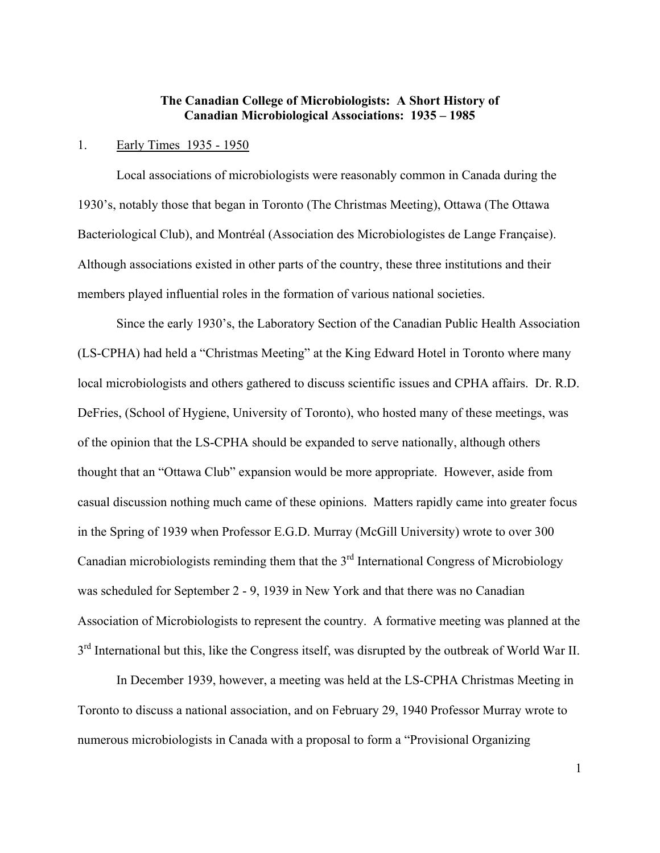# **The Canadian College of Microbiologists: A Short History of Canadian Microbiological Associations: 1935 – 1985**

#### 1. Early Times 1935 - 1950

Local associations of microbiologists were reasonably common in Canada during the 1930's, notably those that began in Toronto (The Christmas Meeting), Ottawa (The Ottawa Bacteriological Club), and Montréal (Association des Microbiologistes de Lange Française). Although associations existed in other parts of the country, these three institutions and their members played influential roles in the formation of various national societies.

Since the early 1930's, the Laboratory Section of the Canadian Public Health Association (LS-CPHA) had held a "Christmas Meeting" at the King Edward Hotel in Toronto where many local microbiologists and others gathered to discuss scientific issues and CPHA affairs. Dr. R.D. DeFries, (School of Hygiene, University of Toronto), who hosted many of these meetings, was of the opinion that the LS-CPHA should be expanded to serve nationally, although others thought that an "Ottawa Club" expansion would be more appropriate. However, aside from casual discussion nothing much came of these opinions. Matters rapidly came into greater focus in the Spring of 1939 when Professor E.G.D. Murray (McGill University) wrote to over 300 Canadian microbiologists reminding them that the  $3<sup>rd</sup>$  International Congress of Microbiology was scheduled for September 2 - 9, 1939 in New York and that there was no Canadian Association of Microbiologists to represent the country. A formative meeting was planned at the  $3<sup>rd</sup>$  International but this, like the Congress itself, was disrupted by the outbreak of World War II.

In December 1939, however, a meeting was held at the LS-CPHA Christmas Meeting in Toronto to discuss a national association, and on February 29, 1940 Professor Murray wrote to numerous microbiologists in Canada with a proposal to form a "Provisional Organizing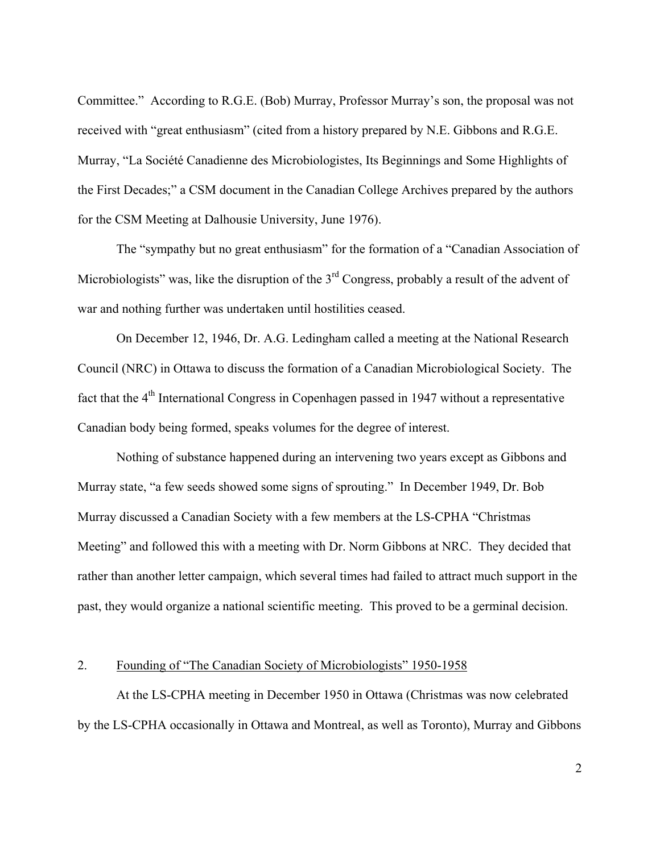Committee." According to R.G.E. (Bob) Murray, Professor Murray's son, the proposal was not received with "great enthusiasm" (cited from a history prepared by N.E. Gibbons and R.G.E. Murray, "La Société Canadienne des Microbiologistes, Its Beginnings and Some Highlights of the First Decades;" a CSM document in the Canadian College Archives prepared by the authors for the CSM Meeting at Dalhousie University, June 1976).

The "sympathy but no great enthusiasm" for the formation of a "Canadian Association of Microbiologists" was, like the disruption of the  $3<sup>rd</sup>$  Congress, probably a result of the advent of war and nothing further was undertaken until hostilities ceased.

On December 12, 1946, Dr. A.G. Ledingham called a meeting at the National Research Council (NRC) in Ottawa to discuss the formation of a Canadian Microbiological Society. The fact that the  $4<sup>th</sup>$  International Congress in Copenhagen passed in 1947 without a representative Canadian body being formed, speaks volumes for the degree of interest.

Nothing of substance happened during an intervening two years except as Gibbons and Murray state, "a few seeds showed some signs of sprouting." In December 1949, Dr. Bob Murray discussed a Canadian Society with a few members at the LS-CPHA "Christmas Meeting" and followed this with a meeting with Dr. Norm Gibbons at NRC. They decided that rather than another letter campaign, which several times had failed to attract much support in the past, they would organize a national scientific meeting. This proved to be a germinal decision.

# 2. Founding of "The Canadian Society of Microbiologists" 1950-1958

At the LS-CPHA meeting in December 1950 in Ottawa (Christmas was now celebrated by the LS-CPHA occasionally in Ottawa and Montreal, as well as Toronto), Murray and Gibbons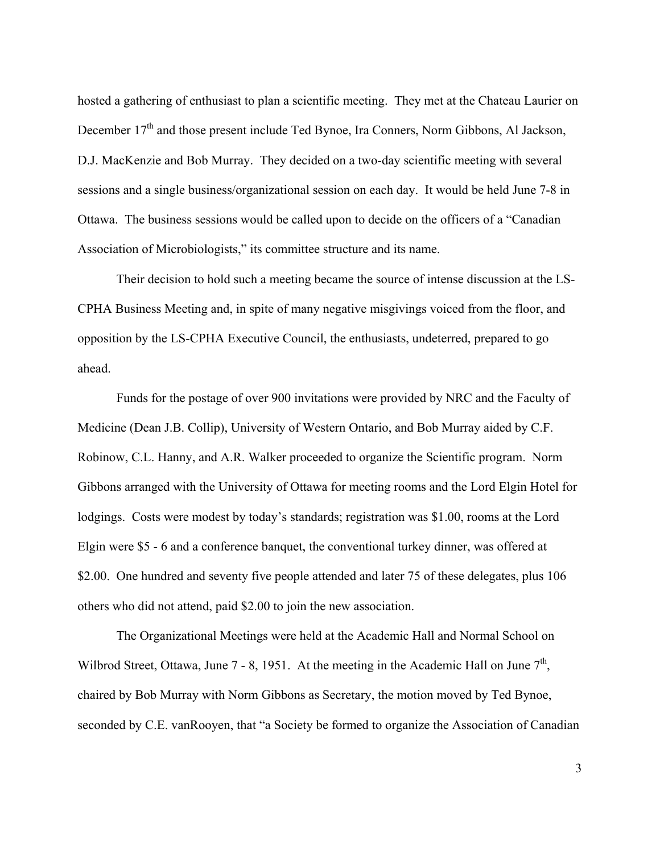hosted a gathering of enthusiast to plan a scientific meeting. They met at the Chateau Laurier on December 17<sup>th</sup> and those present include Ted Bynoe, Ira Conners, Norm Gibbons, Al Jackson, D.J. MacKenzie and Bob Murray. They decided on a two-day scientific meeting with several sessions and a single business/organizational session on each day. It would be held June 7-8 in Ottawa. The business sessions would be called upon to decide on the officers of a "Canadian Association of Microbiologists," its committee structure and its name.

Their decision to hold such a meeting became the source of intense discussion at the LS-CPHA Business Meeting and, in spite of many negative misgivings voiced from the floor, and opposition by the LS-CPHA Executive Council, the enthusiasts, undeterred, prepared to go ahead.

Funds for the postage of over 900 invitations were provided by NRC and the Faculty of Medicine (Dean J.B. Collip), University of Western Ontario, and Bob Murray aided by C.F. Robinow, C.L. Hanny, and A.R. Walker proceeded to organize the Scientific program. Norm Gibbons arranged with the University of Ottawa for meeting rooms and the Lord Elgin Hotel for lodgings. Costs were modest by today's standards; registration was \$1.00, rooms at the Lord Elgin were \$5 - 6 and a conference banquet, the conventional turkey dinner, was offered at \$2.00. One hundred and seventy five people attended and later 75 of these delegates, plus 106 others who did not attend, paid \$2.00 to join the new association.

The Organizational Meetings were held at the Academic Hall and Normal School on Wilbrod Street, Ottawa, June 7 - 8, 1951. At the meeting in the Academic Hall on June  $7<sup>th</sup>$ , chaired by Bob Murray with Norm Gibbons as Secretary, the motion moved by Ted Bynoe, seconded by C.E. vanRooyen, that "a Society be formed to organize the Association of Canadian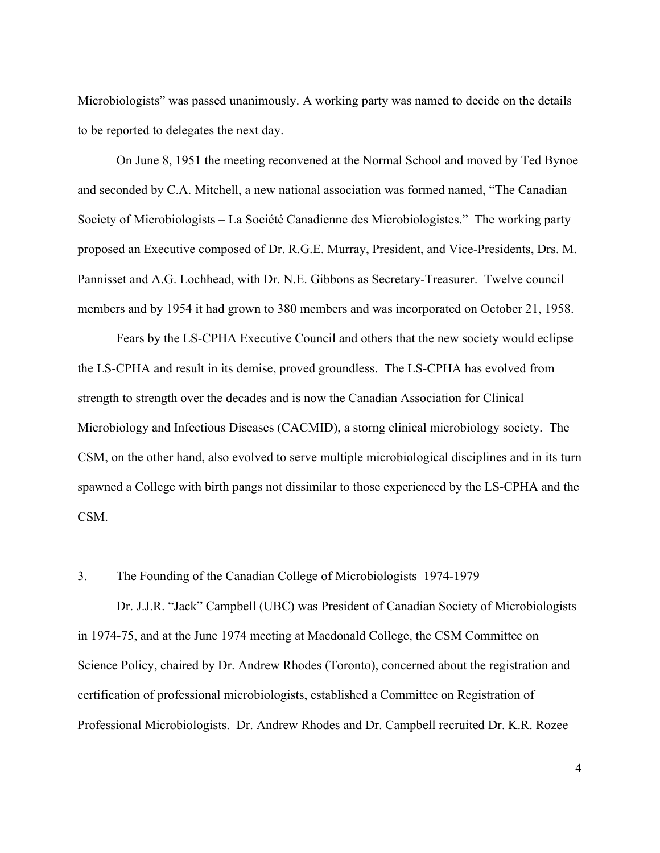Microbiologists" was passed unanimously. A working party was named to decide on the details to be reported to delegates the next day.

On June 8, 1951 the meeting reconvened at the Normal School and moved by Ted Bynoe and seconded by C.A. Mitchell, a new national association was formed named, "The Canadian Society of Microbiologists – La Société Canadienne des Microbiologistes." The working party proposed an Executive composed of Dr. R.G.E. Murray, President, and Vice-Presidents, Drs. M. Pannisset and A.G. Lochhead, with Dr. N.E. Gibbons as Secretary-Treasurer. Twelve council members and by 1954 it had grown to 380 members and was incorporated on October 21, 1958.

Fears by the LS-CPHA Executive Council and others that the new society would eclipse the LS-CPHA and result in its demise, proved groundless. The LS-CPHA has evolved from strength to strength over the decades and is now the Canadian Association for Clinical Microbiology and Infectious Diseases (CACMID), a storng clinical microbiology society. The CSM, on the other hand, also evolved to serve multiple microbiological disciplines and in its turn spawned a College with birth pangs not dissimilar to those experienced by the LS-CPHA and the CSM.

### 3. The Founding of the Canadian College of Microbiologists 1974-1979

Dr. J.J.R. "Jack" Campbell (UBC) was President of Canadian Society of Microbiologists in 1974-75, and at the June 1974 meeting at Macdonald College, the CSM Committee on Science Policy, chaired by Dr. Andrew Rhodes (Toronto), concerned about the registration and certification of professional microbiologists, established a Committee on Registration of Professional Microbiologists. Dr. Andrew Rhodes and Dr. Campbell recruited Dr. K.R. Rozee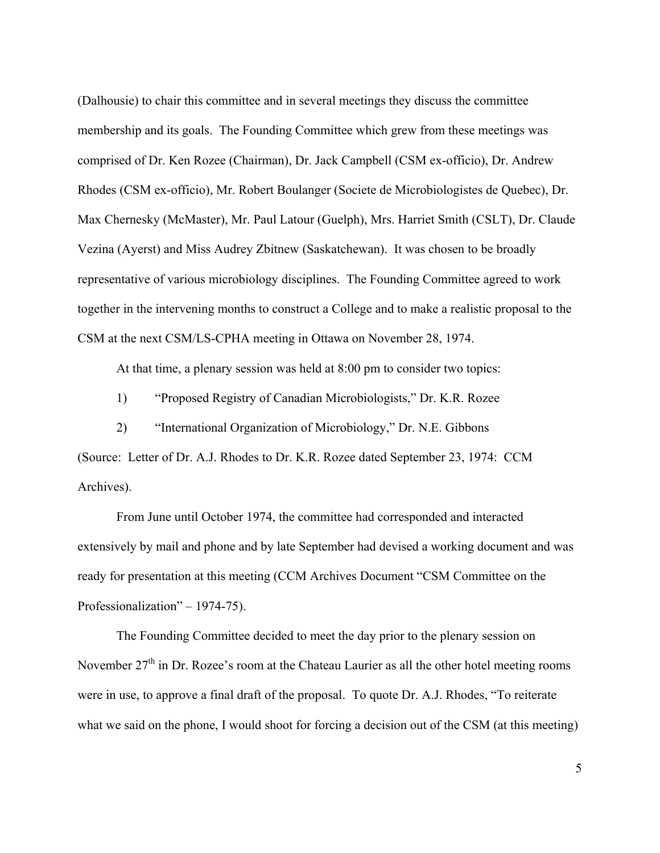(Dalhousie) to chair this committee and in several meetings they discuss the committee membership and its goals. The Founding Committee which grew from these meetings was comprised of Dr. Ken Rozee (Chairman), Dr. Jack Campbell (CSM ex-officio), Dr. Andrew Rhodes (CSM ex-officio), Mr. Robert Boulanger (Societe de Microbiologistes de Quebec), Dr. Max Chernesky (McMaster), Mr. Paul Latour (Guelph), Mrs. Harriet Smith (CSLT), Dr. Claude Vezina (Ayerst) and Miss Audrey Zbitnew (Saskatchewan). It was chosen to be broadly representative of various microbiology disciplines. The Founding Committee agreed to work together in the intervening months to construct a College and to make a realistic proposal to the CSM at the next CSM/LS-CPHA meeting in Ottawa on November 28, 1974.

At that time, a plenary session was held at 8:00 pm to consider two topics:

1) "Proposed Registry of Canadian Microbiologists," Dr. K.R. Rozee

2) "International Organization of Microbiology," Dr. N.E. Gibbons

(Source: Letter of Dr. A.J. Rhodes to Dr. K.R. Rozee dated September 23, 1974: CCM Archives).

From June until October 1974, the committee had corresponded and interacted extensively by mail and phone and by late September had devised a working document and was ready for presentation at this meeting (CCM Archives Document "CSM Committee on the Professionalization" – 1974-75).

The Founding Committee decided to meet the day prior to the plenary session on November  $27<sup>th</sup>$  in Dr. Rozee's room at the Chateau Laurier as all the other hotel meeting rooms were in use, to approve a final draft of the proposal. To quote Dr. A.J. Rhodes, "To reiterate what we said on the phone, I would shoot for forcing a decision out of the CSM (at this meeting)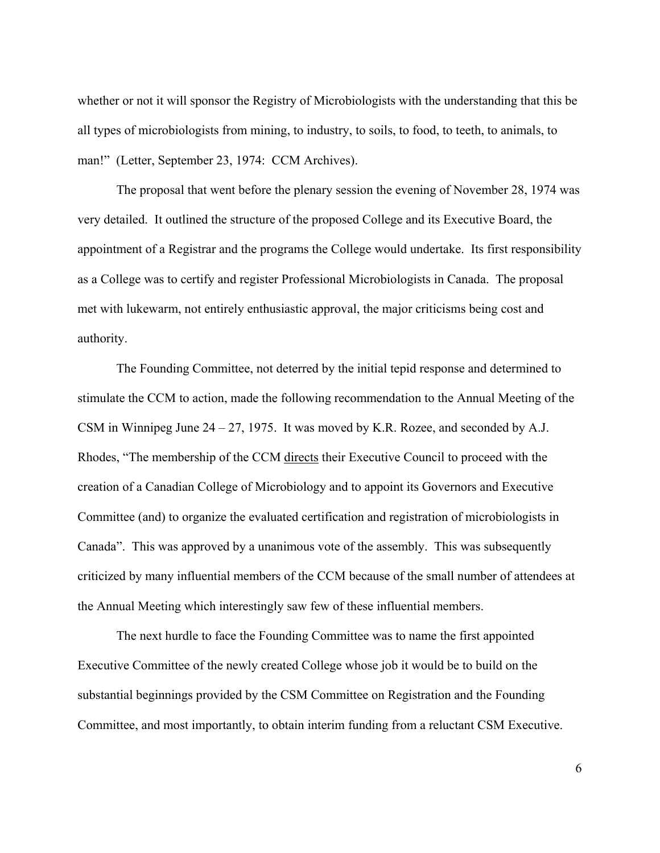whether or not it will sponsor the Registry of Microbiologists with the understanding that this be all types of microbiologists from mining, to industry, to soils, to food, to teeth, to animals, to man!" (Letter, September 23, 1974: CCM Archives).

The proposal that went before the plenary session the evening of November 28, 1974 was very detailed. It outlined the structure of the proposed College and its Executive Board, the appointment of a Registrar and the programs the College would undertake. Its first responsibility as a College was to certify and register Professional Microbiologists in Canada. The proposal met with lukewarm, not entirely enthusiastic approval, the major criticisms being cost and authority.

The Founding Committee, not deterred by the initial tepid response and determined to stimulate the CCM to action, made the following recommendation to the Annual Meeting of the CSM in Winnipeg June 24 – 27, 1975. It was moved by K.R. Rozee, and seconded by A.J. Rhodes, "The membership of the CCM directs their Executive Council to proceed with the creation of a Canadian College of Microbiology and to appoint its Governors and Executive Committee (and) to organize the evaluated certification and registration of microbiologists in Canada". This was approved by a unanimous vote of the assembly. This was subsequently criticized by many influential members of the CCM because of the small number of attendees at the Annual Meeting which interestingly saw few of these influential members.

The next hurdle to face the Founding Committee was to name the first appointed Executive Committee of the newly created College whose job it would be to build on the substantial beginnings provided by the CSM Committee on Registration and the Founding Committee, and most importantly, to obtain interim funding from a reluctant CSM Executive.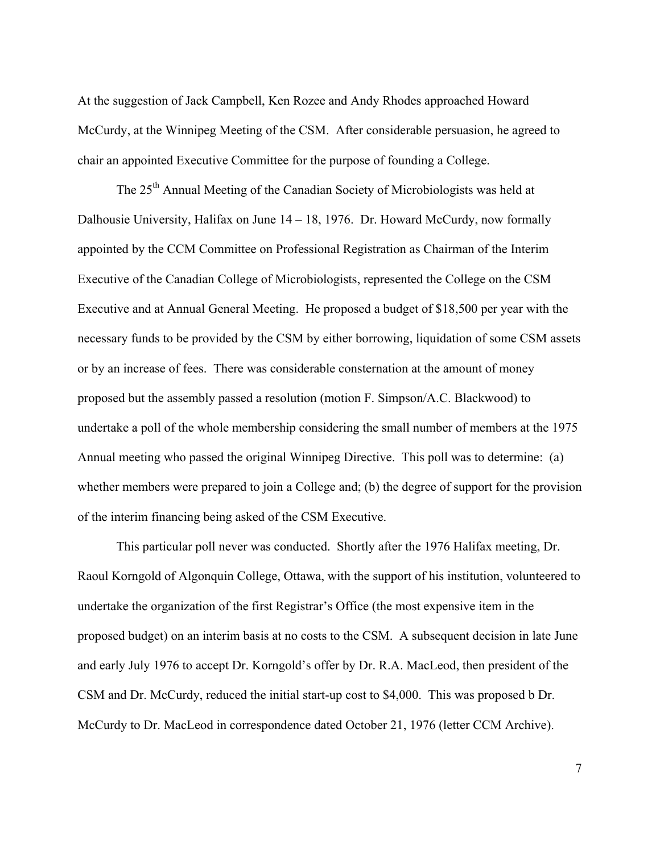At the suggestion of Jack Campbell, Ken Rozee and Andy Rhodes approached Howard McCurdy, at the Winnipeg Meeting of the CSM. After considerable persuasion, he agreed to chair an appointed Executive Committee for the purpose of founding a College.

The 25<sup>th</sup> Annual Meeting of the Canadian Society of Microbiologists was held at Dalhousie University, Halifax on June 14 – 18, 1976. Dr. Howard McCurdy, now formally appointed by the CCM Committee on Professional Registration as Chairman of the Interim Executive of the Canadian College of Microbiologists, represented the College on the CSM Executive and at Annual General Meeting. He proposed a budget of \$18,500 per year with the necessary funds to be provided by the CSM by either borrowing, liquidation of some CSM assets or by an increase of fees. There was considerable consternation at the amount of money proposed but the assembly passed a resolution (motion F. Simpson/A.C. Blackwood) to undertake a poll of the whole membership considering the small number of members at the 1975 Annual meeting who passed the original Winnipeg Directive. This poll was to determine: (a) whether members were prepared to join a College and; (b) the degree of support for the provision of the interim financing being asked of the CSM Executive.

This particular poll never was conducted. Shortly after the 1976 Halifax meeting, Dr. Raoul Korngold of Algonquin College, Ottawa, with the support of his institution, volunteered to undertake the organization of the first Registrar's Office (the most expensive item in the proposed budget) on an interim basis at no costs to the CSM. A subsequent decision in late June and early July 1976 to accept Dr. Korngold's offer by Dr. R.A. MacLeod, then president of the CSM and Dr. McCurdy, reduced the initial start-up cost to \$4,000. This was proposed b Dr. McCurdy to Dr. MacLeod in correspondence dated October 21, 1976 (letter CCM Archive).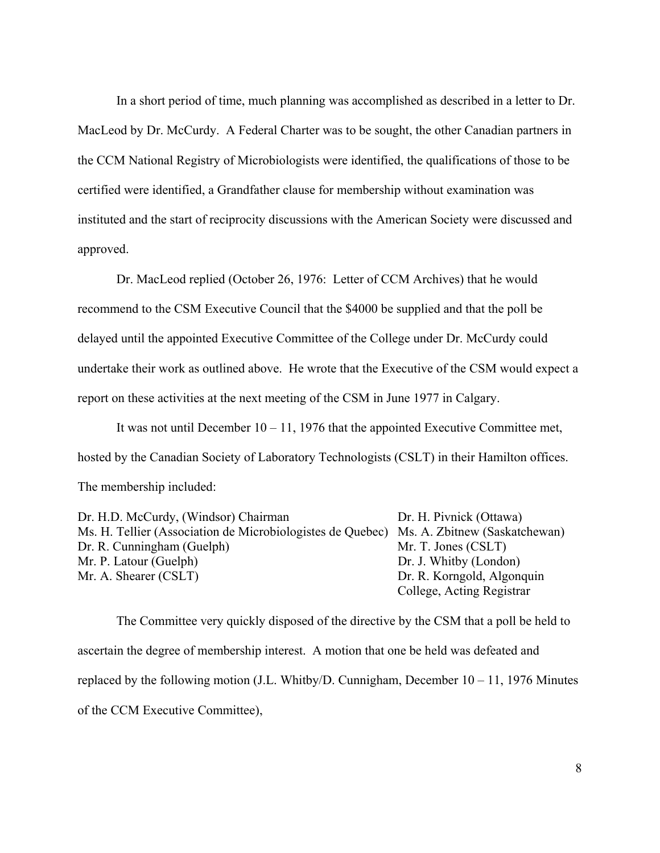In a short period of time, much planning was accomplished as described in a letter to Dr. MacLeod by Dr. McCurdy. A Federal Charter was to be sought, the other Canadian partners in the CCM National Registry of Microbiologists were identified, the qualifications of those to be certified were identified, a Grandfather clause for membership without examination was instituted and the start of reciprocity discussions with the American Society were discussed and approved.

Dr. MacLeod replied (October 26, 1976: Letter of CCM Archives) that he would recommend to the CSM Executive Council that the \$4000 be supplied and that the poll be delayed until the appointed Executive Committee of the College under Dr. McCurdy could undertake their work as outlined above. He wrote that the Executive of the CSM would expect a report on these activities at the next meeting of the CSM in June 1977 in Calgary.

It was not until December  $10 - 11$ , 1976 that the appointed Executive Committee met, hosted by the Canadian Society of Laboratory Technologists (CSLT) in their Hamilton offices. The membership included:

Dr. H.D. McCurdy, (Windsor) Chairman Dr. H. Pivnick (Ottawa) Ms. H. Tellier (Association de Microbiologistes de Quebec) Ms. A. Zbitnew (Saskatchewan) Dr. R. Cunningham (Guelph) Mr. T. Jones (CSLT) Mr. P. Latour (Guelph) Dr. J. Whitby (London) Mr. A. Shearer (CSLT) Dr. R. Korngold, Algonquin College, Acting Registrar

The Committee very quickly disposed of the directive by the CSM that a poll be held to ascertain the degree of membership interest. A motion that one be held was defeated and replaced by the following motion (J.L. Whitby/D. Cunnigham, December  $10 - 11$ , 1976 Minutes of the CCM Executive Committee),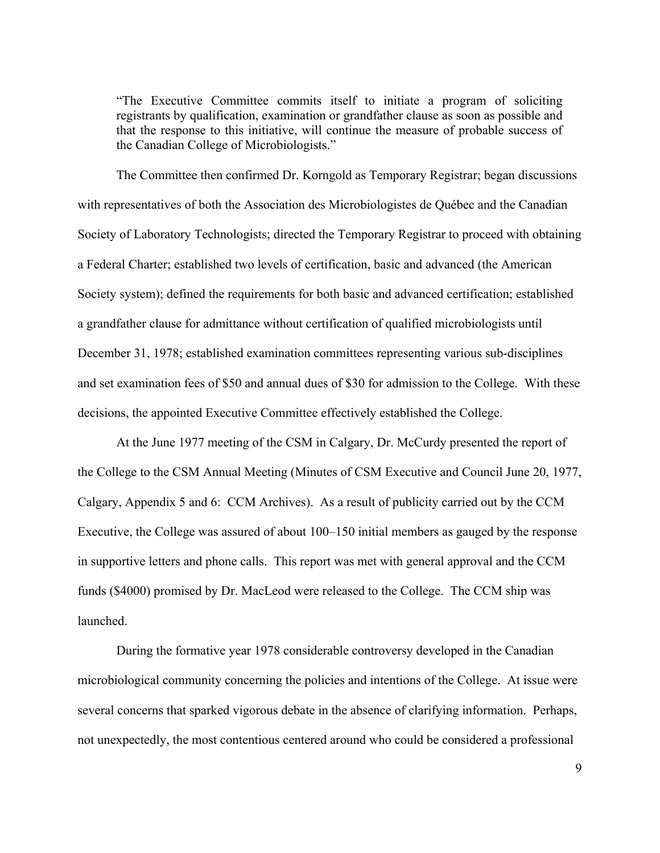"The Executive Committee commits itself to initiate a program of soliciting registrants by qualification, examination or grandfather clause as soon as possible and that the response to this initiative, will continue the measure of probable success of the Canadian College of Microbiologists."

The Committee then confirmed Dr. Korngold as Temporary Registrar; began discussions with representatives of both the Association des Microbiologistes de Québec and the Canadian Society of Laboratory Technologists; directed the Temporary Registrar to proceed with obtaining a Federal Charter; established two levels of certification, basic and advanced (the American Society system); defined the requirements for both basic and advanced certification; established a grandfather clause for admittance without certification of qualified microbiologists until December 31, 1978; established examination committees representing various sub-disciplines and set examination fees of \$50 and annual dues of \$30 for admission to the College. With these decisions, the appointed Executive Committee effectively established the College.

At the June 1977 meeting of the CSM in Calgary, Dr. McCurdy presented the report of the College to the CSM Annual Meeting (Minutes of CSM Executive and Council June 20, 1977, Calgary, Appendix 5 and 6: CCM Archives). As a result of publicity carried out by the CCM Executive, the College was assured of about 100–150 initial members as gauged by the response in supportive letters and phone calls. This report was met with general approval and the CCM funds (\$4000) promised by Dr. MacLeod were released to the College. The CCM ship was launched.

During the formative year 1978 considerable controversy developed in the Canadian microbiological community concerning the policies and intentions of the College. At issue were several concerns that sparked vigorous debate in the absence of clarifying information. Perhaps, not unexpectedly, the most contentious centered around who could be considered a professional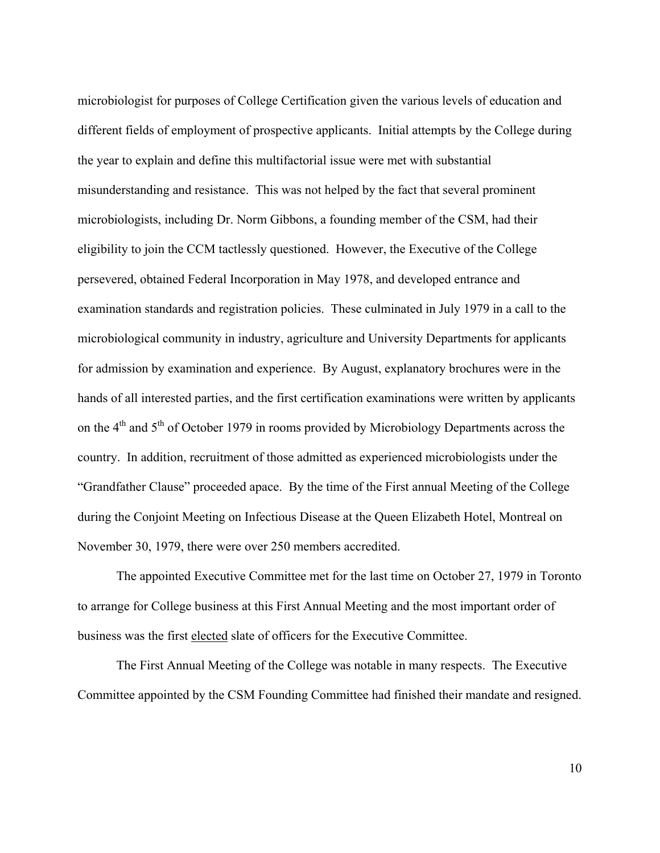microbiologist for purposes of College Certification given the various levels of education and different fields of employment of prospective applicants. Initial attempts by the College during the year to explain and define this multifactorial issue were met with substantial misunderstanding and resistance. This was not helped by the fact that several prominent microbiologists, including Dr. Norm Gibbons, a founding member of the CSM, had their eligibility to join the CCM tactlessly questioned. However, the Executive of the College persevered, obtained Federal Incorporation in May 1978, and developed entrance and examination standards and registration policies. These culminated in July 1979 in a call to the microbiological community in industry, agriculture and University Departments for applicants for admission by examination and experience. By August, explanatory brochures were in the hands of all interested parties, and the first certification examinations were written by applicants on the 4<sup>th</sup> and 5<sup>th</sup> of October 1979 in rooms provided by Microbiology Departments across the country. In addition, recruitment of those admitted as experienced microbiologists under the "Grandfather Clause" proceeded apace. By the time of the First annual Meeting of the College during the Conjoint Meeting on Infectious Disease at the Queen Elizabeth Hotel, Montreal on November 30, 1979, there were over 250 members accredited.

The appointed Executive Committee met for the last time on October 27, 1979 in Toronto to arrange for College business at this First Annual Meeting and the most important order of business was the first elected slate of officers for the Executive Committee.

The First Annual Meeting of the College was notable in many respects. The Executive Committee appointed by the CSM Founding Committee had finished their mandate and resigned.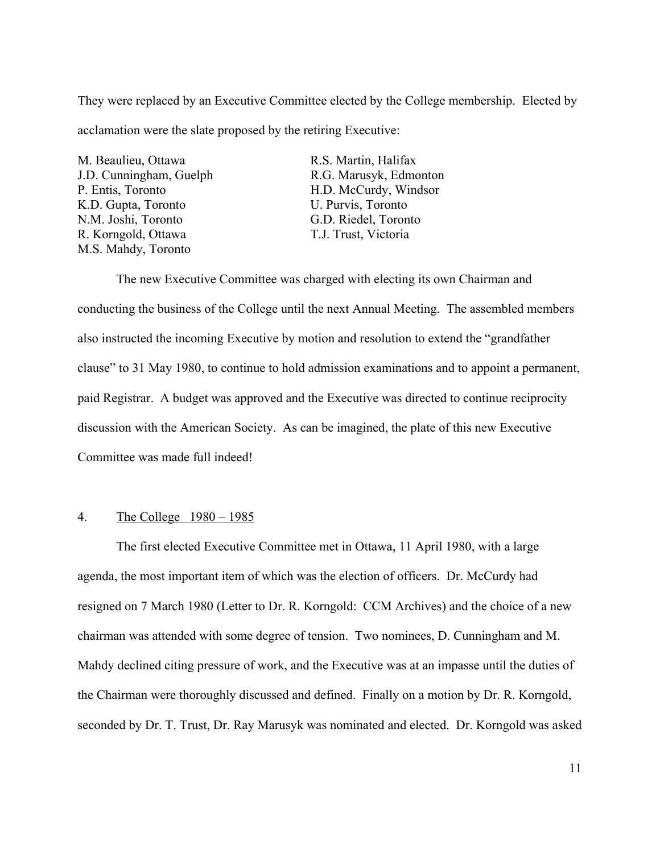They were replaced by an Executive Committee elected by the College membership. Elected by acclamation were the slate proposed by the retiring Executive:

M. Beaulieu, Ottawa R.S. Martin, Halifax K.D. Gupta, Toronto U. Purvis, Toronto N.M. Joshi, Toronto G.D. Riedel, Toronto R. Korngold, Ottawa T.J. Trust, Victoria M.S. Mahdy, Toronto

J.D. Cunningham, Guelph R.G. Marusyk, Edmonton P. Entis, Toronto H.D. McCurdy, Windsor

The new Executive Committee was charged with electing its own Chairman and conducting the business of the College until the next Annual Meeting. The assembled members also instructed the incoming Executive by motion and resolution to extend the "grandfather clause" to 31 May 1980, to continue to hold admission examinations and to appoint a permanent, paid Registrar. A budget was approved and the Executive was directed to continue reciprocity discussion with the American Society. As can be imagined, the plate of this new Executive Committee was made full indeed!

# 4. The College 1980 – 1985

The first elected Executive Committee met in Ottawa, 11 April 1980, with a large agenda, the most important item of which was the election of officers. Dr. McCurdy had resigned on 7 March 1980 (Letter to Dr. R. Korngold: CCM Archives) and the choice of a new chairman was attended with some degree of tension. Two nominees, D. Cunningham and M. Mahdy declined citing pressure of work, and the Executive was at an impasse until the duties of the Chairman were thoroughly discussed and defined. Finally on a motion by Dr. R. Korngold, seconded by Dr. T. Trust, Dr. Ray Marusyk was nominated and elected. Dr. Korngold was asked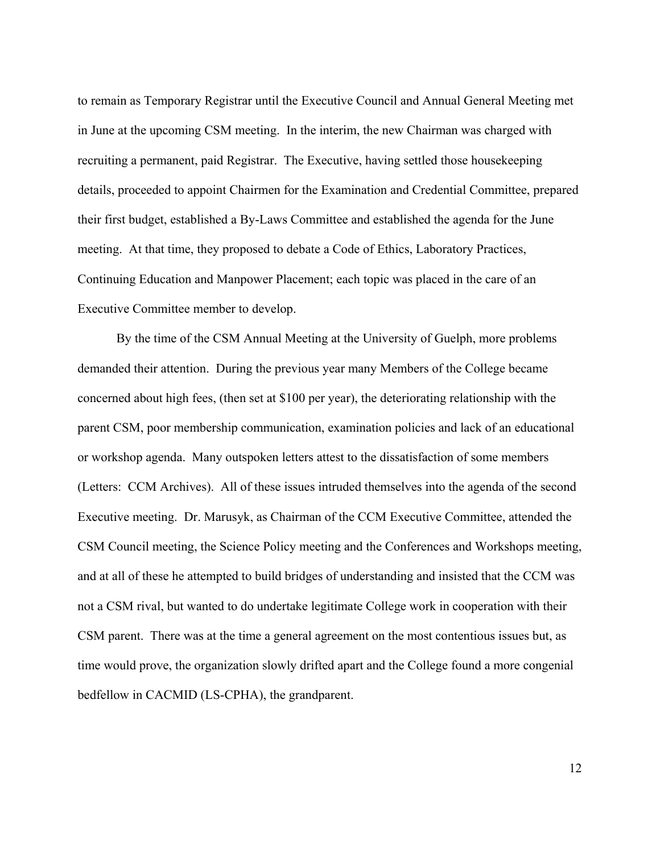to remain as Temporary Registrar until the Executive Council and Annual General Meeting met in June at the upcoming CSM meeting. In the interim, the new Chairman was charged with recruiting a permanent, paid Registrar. The Executive, having settled those housekeeping details, proceeded to appoint Chairmen for the Examination and Credential Committee, prepared their first budget, established a By-Laws Committee and established the agenda for the June meeting. At that time, they proposed to debate a Code of Ethics, Laboratory Practices, Continuing Education and Manpower Placement; each topic was placed in the care of an Executive Committee member to develop.

By the time of the CSM Annual Meeting at the University of Guelph, more problems demanded their attention. During the previous year many Members of the College became concerned about high fees, (then set at \$100 per year), the deteriorating relationship with the parent CSM, poor membership communication, examination policies and lack of an educational or workshop agenda. Many outspoken letters attest to the dissatisfaction of some members (Letters: CCM Archives). All of these issues intruded themselves into the agenda of the second Executive meeting. Dr. Marusyk, as Chairman of the CCM Executive Committee, attended the CSM Council meeting, the Science Policy meeting and the Conferences and Workshops meeting, and at all of these he attempted to build bridges of understanding and insisted that the CCM was not a CSM rival, but wanted to do undertake legitimate College work in cooperation with their CSM parent. There was at the time a general agreement on the most contentious issues but, as time would prove, the organization slowly drifted apart and the College found a more congenial bedfellow in CACMID (LS-CPHA), the grandparent.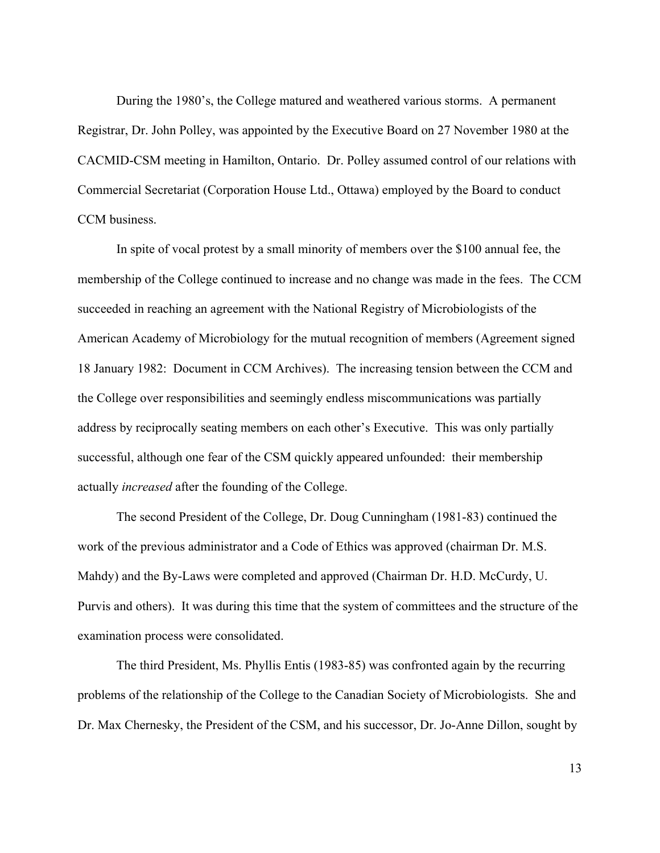During the 1980's, the College matured and weathered various storms. A permanent Registrar, Dr. John Polley, was appointed by the Executive Board on 27 November 1980 at the CACMID-CSM meeting in Hamilton, Ontario. Dr. Polley assumed control of our relations with Commercial Secretariat (Corporation House Ltd., Ottawa) employed by the Board to conduct CCM business.

In spite of vocal protest by a small minority of members over the \$100 annual fee, the membership of the College continued to increase and no change was made in the fees. The CCM succeeded in reaching an agreement with the National Registry of Microbiologists of the American Academy of Microbiology for the mutual recognition of members (Agreement signed 18 January 1982: Document in CCM Archives). The increasing tension between the CCM and the College over responsibilities and seemingly endless miscommunications was partially address by reciprocally seating members on each other's Executive. This was only partially successful, although one fear of the CSM quickly appeared unfounded: their membership actually *increased* after the founding of the College.

The second President of the College, Dr. Doug Cunningham (1981-83) continued the work of the previous administrator and a Code of Ethics was approved (chairman Dr. M.S. Mahdy) and the By-Laws were completed and approved (Chairman Dr. H.D. McCurdy, U. Purvis and others). It was during this time that the system of committees and the structure of the examination process were consolidated.

The third President, Ms. Phyllis Entis (1983-85) was confronted again by the recurring problems of the relationship of the College to the Canadian Society of Microbiologists. She and Dr. Max Chernesky, the President of the CSM, and his successor, Dr. Jo-Anne Dillon, sought by